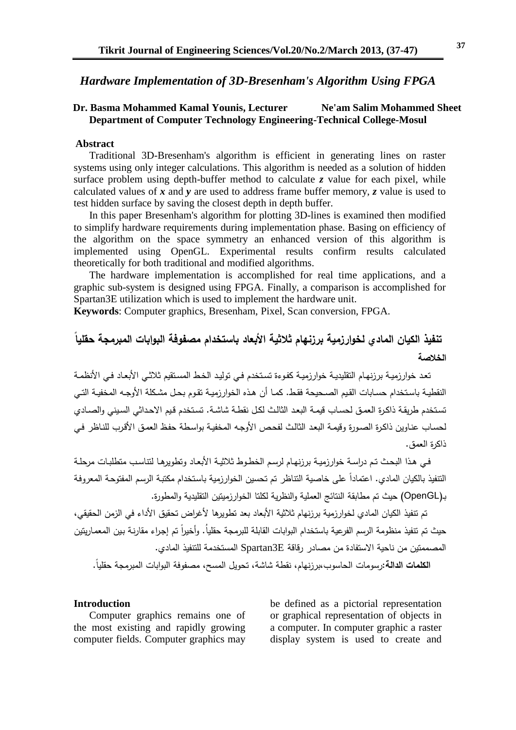# *Hardware Implementation of 3D-Bresenham's Algorithm Using FPGA*

#### **Dr. Basma Mohammed Kamal Younis, Lecturer Ne'am Salim Mohammed Sheet Department of Computer Technology Engineering-Technical College-Mosul**

#### **Abstract**

Traditional 3D-Bresenham's algorithm is efficient in generating lines on raster systems using only integer calculations. This algorithm is needed as a solution of hidden surface problem using depth-buffer method to calculate *z* value for each pixel, while calculated values of *x* and *y* are used to address frame buffer memory, *z* value is used to test hidden surface by saving the closest depth in depth buffer.

In this paper Bresenham's algorithm for plotting 3D-lines is examined then modified to simplify hardware requirements during implementation phase. Basing on efficiency of the algorithm on the space symmetry an enhanced version of this algorithm is implemented using OpenGL. Experimental results confirm results calculated theoretically for both traditional and modified algorithms.

The hardware implementation is accomplished for real time applications, and a graphic sub-system is designed using FPGA. Finally, a comparison is accomplished for Spartan3E utilization which is used to implement the hardware unit.

**Keywords**: Computer graphics, Bresenham, Pixel, Scan conversion, FPGA.

# **تنفيذ الكيان المادي لخوارزمية برزنهام ثالثية األبعاد باستخدام مصفوفة البوابات المبرمجة حقميا الخالصة**

تعد خوارزميــة برزنـهـام التقليديــة خوارزميــة كفوءة تستخدم فــى توليد الخـط المستقيم ثلاثـي الأبعـاد فـي الأنظمــة النقطيـة باستخدام حسابات القيم الصـحيحة فقط. كمـا أن هذه الخوارزميـة تقوم بحـل مشكلة الأوجـه المخفيـة التـي تستخدم طريقة ذاكرة العمق لحساب قيمة البعد الثالث لكل نقطة شاشة. تستخدم قيم الاحداثي السبني والصادي لحساب عناوين ذاكرة الصورة وقيمة البعد الثالث لفحص الأوجه المخفية بواسطة حفظ العمق الأقرب للناظر في ذاكرة العمق.

في هذا البحث تم دراسة خوارزمية برزنهام لرسم الخطوط ثلاثية الأبعاد وتطويرها لتتاسب متطلبات مرحلة التنفيذ بالكيان المادي. اعتمادا على خاصية التناظر تم تحسين الخوارزمية باستخدام مكتبة الرسم المفتوحة المعروفة بـ(OpenGL) حيث تم مطابقة النتائج العملية والنظرية لكلتا الخوارزميتين التقليدية والمطورة.

تم تتفيذ الكيان المادي لخوارزمية برزنهام ثلاثية الأبعاد بعد تطويرها لأغراض تحقيق الأداء في الزمن الحقيقي، حيث تم تتفيذ منظومة الرسم الفرعية باستخدام البوابات القابلة للبرمجة حقليا. وأخيرا تم إجراء مقارنـة بـين المعماريتين المصممتين من ناحية الاستفادة من مصادر رقاقة Spartan3E المستخدمة للتتفيذ المادي.

ا**لكلمات الدالة:**رسومات الحاسوب،برزنهام، نقطة شاشة، تحويل المسح، مصفوفة البوابات المبرمجة حقلياً.

#### **Introduction**

Computer graphics remains one of the most existing and rapidly growing computer fields. Computer graphics may be defined as a pictorial representation or graphical representation of objects in a computer. In computer graphic a raster display system is used to create and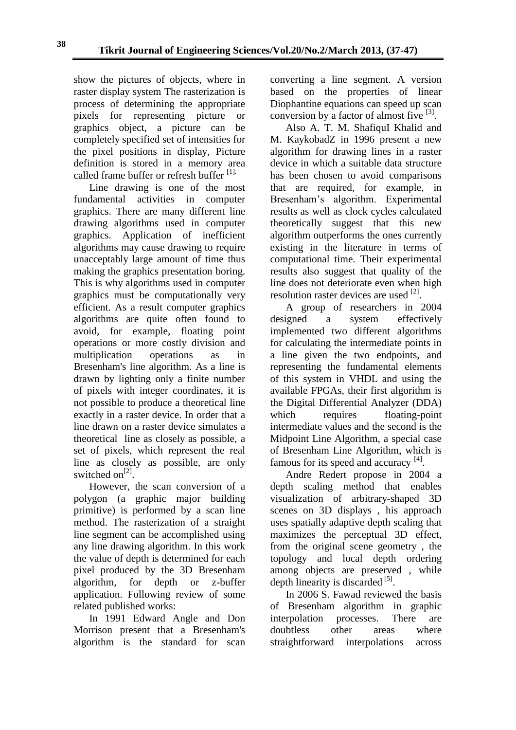show the pictures of objects, where in raster display system The rasterization is process of determining the appropriate pixels for representing picture or graphics object, a picture can be completely specified set of intensities for the pixel positions in display, Picture definition is stored in a memory area called frame buffer or refresh buffer [1].

Line drawing is one of the most fundamental activities in computer graphics. There are many different line drawing algorithms used in computer graphics. Application of inefficient algorithms may cause drawing to require unacceptably large amount of time thus making the graphics presentation boring. This is why algorithms used in computer graphics must be computationally very efficient. As a result computer graphics algorithms are quite often found to avoid, for example, floating point operations or more costly division and multiplication operations as in Bresenham's line algorithm. As a line is drawn by lighting only a finite number of pixels with integer coordinates, it is not possible to produce a theoretical line exactly in a raster device. In order that a line drawn on a raster device simulates a theoretical line as closely as possible, a set of pixels, which represent the real line as closely as possible, are only switched on<sup>[2]</sup>.

However, the scan conversion of a polygon (a graphic major building primitive) is performed by a scan line method. The rasterization of a straight line segment can be accomplished using any line drawing algorithm. In this work the value of depth is determined for each pixel produced by the 3D Bresenham algorithm, for depth or z-buffer application. Following review of some related published works:

In 1991 Edward Angle and Don Morrison present that a Bresenham's algorithm is the standard for scan converting a line segment. A version based on the properties of linear Diophantine equations can speed up scan conversion by a factor of almost five  $^{[3]}$ .

Also A. T. M. ShafiquI Khalid and M. KaykobadZ in 1996 present a new algorithm for drawing lines in a raster device in which a suitable data structure has been chosen to avoid comparisons that are required, for example, in Bresenham's algorithm. Experimental results as well as clock cycles calculated theoretically suggest that this new algorithm outperforms the ones currently existing in the literature in terms of computational time. Their experimental results also suggest that quality of the line does not deteriorate even when high resolution raster devices are used [2].

A group of researchers in 2004 designed a system effectively implemented two different algorithms for calculating the intermediate points in a line given the two endpoints, and representing the fundamental elements of this system in VHDL and using the available FPGAs, their first algorithm is the Digital Differential Analyzer (DDA) which requires floating-point intermediate values and the second is the Midpoint Line Algorithm, a special case of Bresenham Line Algorithm, which is famous for its speed and accuracy [4].

Andre Redert propose in 2004 a depth scaling method that enables visualization of arbitrary-shaped 3D scenes on 3D displays , his approach uses spatially adaptive depth scaling that maximizes the perceptual 3D effect, from the original scene geometry , the topology and local depth ordering among objects are preserved , while depth linearity is discarded [5].

In 2006 S. Fawad reviewed the basis of Bresenham algorithm in graphic interpolation processes. There are doubtless other areas where straightforward interpolations across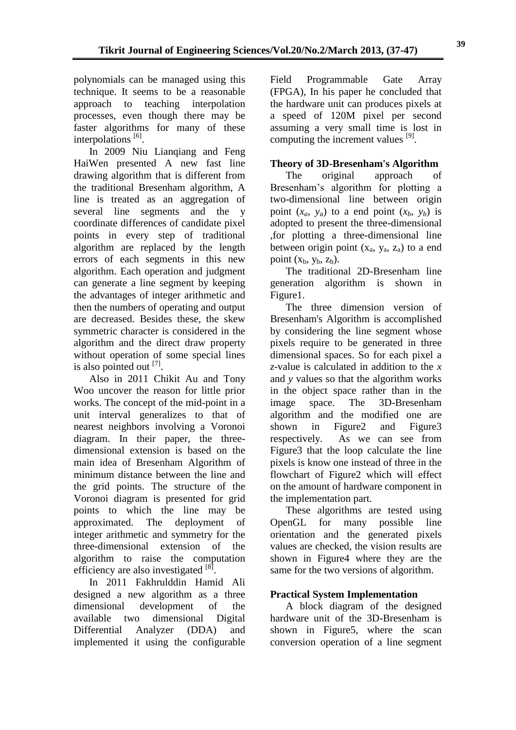polynomials can be managed using this technique. It seems to be a reasonable approach to teaching interpolation processes, even though there may be faster algorithms for many of these interpolations<sup>[6]</sup>.

In 2009 Niu Lianqiang and Feng HaiWen presented A new fast line drawing algorithm that is different from the traditional Bresenham algorithm, A line is treated as an aggregation of several line segments and the y coordinate differences of candidate pixel points in every step of traditional algorithm are replaced by the length errors of each segments in this new algorithm. Each operation and judgment can generate a line segment by keeping the advantages of integer arithmetic and then the numbers of operating and output are decreased. Besides these, the skew symmetric character is considered in the algorithm and the direct draw property without operation of some special lines is also pointed out  $^{[7]}$ .

Also in 2011 Chikit Au and Tony Woo uncover the reason for little prior works. The concept of the mid-point in a unit interval generalizes to that of nearest neighbors involving a Voronoi diagram. In their paper, the threedimensional extension is based on the main idea of Bresenham Algorithm of minimum distance between the line and the grid points. The structure of the Voronoi diagram is presented for grid points to which the line may be approximated. The deployment of integer arithmetic and symmetry for the three-dimensional extension of the algorithm to raise the computation efficiency are also investigated [8].

In 2011 Fakhrulddin Hamid Ali designed a new algorithm as a three dimensional development of the available two dimensional Digital Differential Analyzer (DDA) and implemented it using the configurable Field Programmable Gate Array (FPGA), In his paper he concluded that the hardware unit can produces pixels at a speed of 120M pixel per second assuming a very small time is lost in computing the increment values [9].

# **Theory of 3D-Bresenham's Algorithm**

The original approach of Bresenham's algorithm for plotting a two-dimensional line between origin point  $(x_a, y_a)$  to a end point  $(x_b, y_b)$  is adopted to present the three-dimensional ,for plotting a three-dimensional line between origin point  $(x_a, y_a, z_a)$  to a end point  $(x_h, y_h, z_h)$ .

The traditional 2D-Bresenham line generation algorithm is shown in Figure1.

The three dimension version of Bresenham's Algorithm is accomplished by considering the line segment whose pixels require to be generated in three dimensional spaces. So for each pixel a *z*-value is calculated in addition to the *x* and *y* values so that the algorithm works in the object space rather than in the image space. The 3D-Bresenham algorithm and the modified one are shown in Figure2 and Figure3 respectively. As we can see from Figure3 that the loop calculate the line pixels is know one instead of three in the flowchart of Figure2 which will effect on the amount of hardware component in the implementation part.

These algorithms are tested using OpenGL for many possible line orientation and the generated pixels values are checked, the vision results are shown in Figure4 where they are the same for the two versions of algorithm.

# **Practical System Implementation**

A block diagram of the designed hardware unit of the 3D-Bresenham is shown in Figure5, where the scan conversion operation of a line segment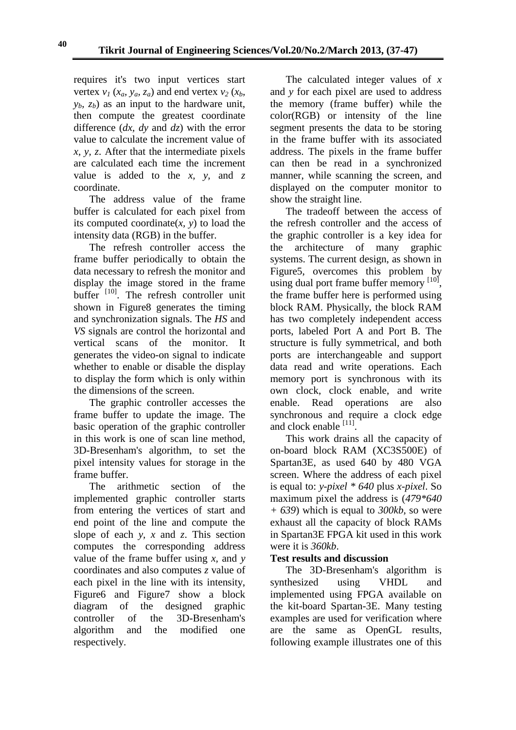requires it's two input vertices start vertex  $v_1$  ( $x_a$ ,  $v_a$ ,  $z_a$ ) and end vertex  $v_2$  ( $x_b$ )  $y<sub>b</sub>$ ,  $z<sub>b</sub>$ ) as an input to the hardware unit, then compute the greatest coordinate difference (*dx, dy* and *dz*) with the error value to calculate the increment value of *x, y, z*. After that the intermediate pixels are calculated each time the increment value is added to the *x, y,* and *z* coordinate.

The address value of the frame buffer is calculated for each pixel from its computed coordinate $(x, y)$  to load the intensity data (RGB) in the buffer.

The refresh controller access the frame buffer periodically to obtain the data necessary to refresh the monitor and display the image stored in the frame buffer<sup>[10]</sup>. The refresh controller unit shown in Figure8 generates the timing and synchronization signals. The *HS* and *VS* signals are control the horizontal and vertical scans of the monitor. It generates the video-on signal to indicate whether to enable or disable the display to display the form which is only within the dimensions of the screen.

The graphic controller accesses the frame buffer to update the image. The basic operation of the graphic controller in this work is one of scan line method, 3D-Bresenham's algorithm, to set the pixel intensity values for storage in the frame buffer.

The arithmetic section of the implemented graphic controller starts from entering the vertices of start and end point of the line and compute the slope of each *y, x* and *z*. This section computes the corresponding address value of the frame buffer using *x,* and *y* coordinates and also computes *z* value of each pixel in the line with its intensity, Figure6 and Figure7 show a block diagram of the designed graphic controller of the 3D-Bresenham's algorithm and the modified one respectively.

The calculated integer values of *x* and *y* for each pixel are used to address the memory (frame buffer) while the color(RGB) or intensity of the line segment presents the data to be storing in the frame buffer with its associated address. The pixels in the frame buffer can then be read in a synchronized manner, while scanning the screen, and displayed on the computer monitor to show the straight line.

The tradeoff between the access of the refresh controller and the access of the graphic controller is a key idea for the architecture of many graphic systems. The current design, as shown in Figure5, overcomes this problem by using dual port frame buffer memory  $[10]$ , the frame buffer here is performed using block RAM. Physically, the block RAM has two completely independent access ports, labeled Port A and Port B. The structure is fully symmetrical, and both ports are interchangeable and support data read and write operations. Each memory port is synchronous with its own clock, clock enable, and write enable. Read operations are also synchronous and require a clock edge and clock enable [11].

This work drains all the capacity of on-board block RAM (XC3S500E) of Spartan3E, as used 640 by 480 VGA screen. Where the address of each pixel is equal to: *y-pixel \* 640* plus *x-pixel*. So maximum pixel the address is (*479\*640 + 639*) which is equal to *300kb*, so were exhaust all the capacity of block RAMs in Spartan3E FPGA kit used in this work were it is *360kb*.

# **Test results and discussion**

The 3D-Bresenham's algorithm is synthesized using VHDL and implemented using FPGA available on the kit-board Spartan-3E. Many testing examples are used for verification where are the same as OpenGL results, following example illustrates one of this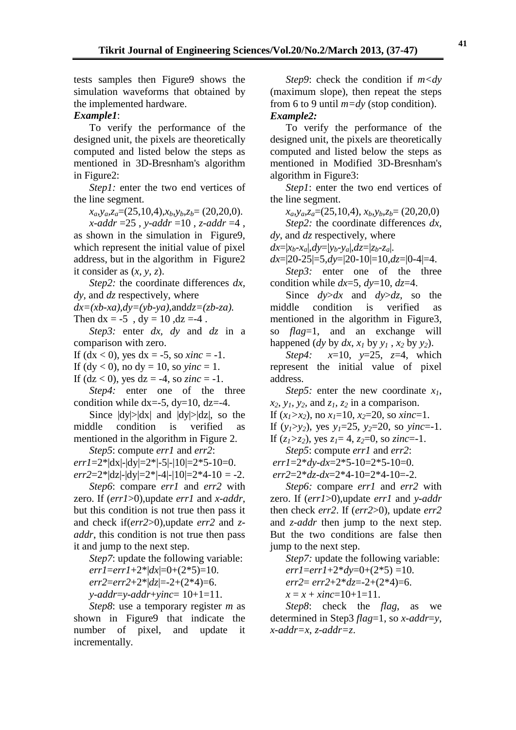tests samples then Figure9 shows the simulation waveforms that obtained by the implemented hardware.

#### *Example1*:

To verify the performance of the designed unit, the pixels are theoretically computed and listed below the steps as mentioned in 3D-Bresnham's algorithm in Figure2:

*Step1:* enter the two end vertices of the line segment.

 $x_a, y_a, z_a = (25, 10, 4), x_b, y_b, z_b = (20, 20, 0).$ 

*x-addr* =25 , *y-addr* =10 , *z-addr* =4 , as shown in the simulation in Figure9, which represent the initial value of pixel address, but in the algorithm in Figure2 it consider as (*x, y, z*).

*Step2:* the coordinate differences *dx*, *dy,* and *dz* respectively, where

*dx=(xb-xa),dy=(yb-ya),*and*dz=(zb-za).*

Then  $dx = -5$ ,  $dy = 10$ ,  $dz = -4$ .

*Step3:* enter *dx, dy* and *dz* in a comparison with zero.

If  $(dx < 0)$ , yes  $dx = -5$ , so *xinc* = -1.

If  $(dy < 0)$ , no  $dy = 10$ , so  $\text{y} \in \mathbb{R} = 1$ .

If  $(dz < 0)$ , yes  $dz = -4$ , so *zinc* = -1.

*Step4:* enter one of the three condition while  $dx = -5$ ,  $dy=10$ ,  $dz = -4$ .

Since  $|dy|>|dx|$  and  $|dy|>|dz|$ , so the middle condition is verified as mentioned in the algorithm in Figure 2.

*Step5*: compute *err1* and *err2*:

 $err1=2^*|dx|$ - $|dy|=2^*|$ -5|- $|10|=2^*$ 5-10=0.  $err2=2^*|dz|$ - $|dy|=2^*|{-}4|{-}10|=2*4-10=-2$ .

*Step6*: compare *err1* and *err2* with zero. If (*err1*>0),update *err1* and *x-addr*, but this condition is not true then pass it and check if(*err2*>0),update *err2* and *zaddr*, this condition is not true then pass it and jump to the next step.

*Step7*: update the following variable:

 $err1 = err1 + 2*|dx| = 0 + (2*5) = 10.$ 

*err2*=*err2*+2\*|*dz*|=-2+(2\*4)=6.

*y-addr*=*y-addr*+*yinc*= 10+1=11.

*Step8*: use a temporary register *m* as shown in Figure9 that indicate the number of pixel, and update it incrementally.

*Step9*: check the condition if *m<dy* (maximum slope), then repeat the steps from 6 to 9 until *m=dy* (stop condition). *Example2:* 

To verify the performance of the designed unit, the pixels are theoretically computed and listed below the steps as mentioned in Modified 3D-Bresnham's algorithm in Figure3:

*Step1*: enter the two end vertices of the line segment.

*xa,ya,za*=(25,10,4), *xb,yb,zb*= (20,20,0)

*Step2:* the coordinate differences *dx, dy*, and *dz* respectively, where

 $dx=|x_b-x_a|, dy=|y_b-y_a|, dz=|z_b-z_a|$ .

*dx*=|20-25|=5,*dy*=|20-10|=10,*dz*=|0-4|=4.

*Step3:* enter one of the three condition while *dx*=5, *dy*=10, *dz*=4.

Since *dy*>*dx* and *dy*>*dz*, so the middle condition is verified as mentioned in the algorithm in Figure3, so *flag*=1, and an exchange will happened (*dy* by *dx*,  $x_1$  by  $y_1$ ,  $x_2$  by  $y_2$ ).

*Step4: x*=10, *y*=25, *z*=4, which represent the initial value of pixel address.

*Step5:* enter the new coordinate *x1*,  $x_2, y_1, y_2,$  and  $z_1, z_2$  in a comparison.

If  $(x_1 > x_2)$ , no  $x_1 = 10$ ,  $x_2 = 20$ , so *xinc*=1.

If  $(y_1>y_2)$ , yes  $y_1=25$ ,  $y_2=20$ , so  $yinc=1$ .

If  $(z_1 > z_2)$ , yes  $z_1 = 4$ ,  $z_2 = 0$ , so  $zinc = -1$ . *Step5*: compute *err1* and *err2*:

*err1*=2\**dy-dx*=2\*5-10=2\*5-10=0.

*err2*=2\**dz-dx*=2\*4-10=2\*4-10=-2.

*Step6:* compare *err1* and *err2* with zero. If (*err1*>0),update *err1* and *y-addr* then check *err2*. If (*err2*>0), update *err2* and *z-addr* then jump to the next step. But the two conditions are false then jump to the next step.

*Step7:* update the following variable:  $err1 = err1 + 2 * dy = 0 + (2 * 5) = 10.$ *err2*= *err2*+2\**dz*=-2+(2\*4)=6.  $x = x + xinc = 10 + 1 = 11$ .

*Step8*: check the *flag*, as we determined in Step3 *flag*=1, so *x-addr*=*y*, *x-addr=x*, *z-addr=z*.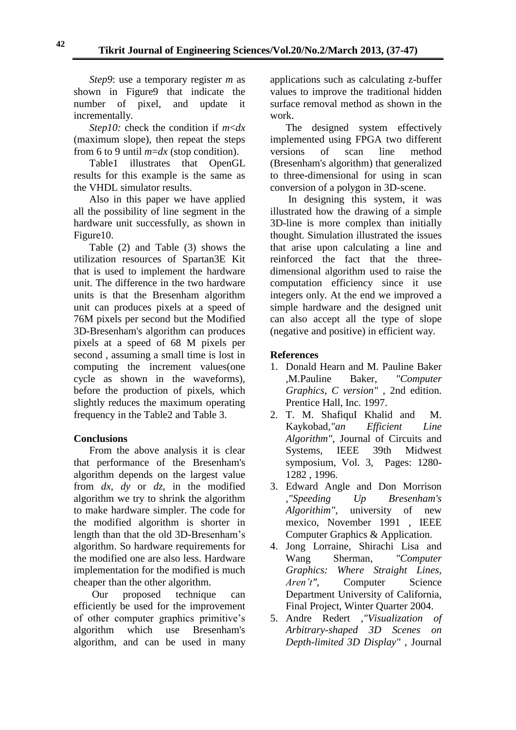*Step9*: use a temporary register *m* as shown in Figure9 that indicate the number of pixel, and update it incrementally.

*Step10:* check the condition if *m*<*dx* (maximum slope), then repeat the steps from 6 to 9 until *m*=*dx* (stop condition).

Table1 illustrates that OpenGL results for this example is the same as the VHDL simulator results.

Also in this paper we have applied all the possibility of line segment in the hardware unit successfully, as shown in Figure10.

Table (2) and Table (3) shows the utilization resources of Spartan3E Kit that is used to implement the hardware unit. The difference in the two hardware units is that the Bresenham algorithm unit can produces pixels at a speed of 76M pixels per second but the Modified 3D-Bresenham's algorithm can produces pixels at a speed of 68 M pixels per second , assuming a small time is lost in computing the increment values(one cycle as shown in the waveforms), before the production of pixels, which slightly reduces the maximum operating frequency in the Table2 and Table 3.

# **Conclusions**

From the above analysis it is clear that performance of the Bresenham's algorithm depends on the largest value from *dx, dy* or *dz*, in the modified algorithm we try to shrink the algorithm to make hardware simpler. The code for the modified algorithm is shorter in length than that the old 3D-Bresenham's algorithm. So hardware requirements for the modified one are also less. Hardware implementation for the modified is much cheaper than the other algorithm.

Our proposed technique can efficiently be used for the improvement of other computer graphics primitive's algorithm which use Bresenham's algorithm, and can be used in many applications such as calculating z-buffer values to improve the traditional hidden surface removal method as shown in the work.

The designed system effectively implemented using FPGA two different versions of scan line method (Bresenham's algorithm) that generalized to three-dimensional for using in scan conversion of a polygon in 3D-scene.

In designing this system, it was illustrated how the drawing of a simple 3D-line is more complex than initially thought. Simulation illustrated the issues that arise upon calculating a line and reinforced the fact that the threedimensional algorithm used to raise the computation efficiency since it use integers only. At the end we improved a simple hardware and the designed unit can also accept all the type of slope (negative and positive) in efficient way.

### **References**

- 1. Donald Hearn and M. Pauline Baker ,M.Pauline Baker, *"Computer Graphics, C version"* , 2nd edition. Prentice Hall, Inc. 1997.
- 2. T. M. ShafiquI Khalid and M. Kaykobad*,"an Efficient Line Algorithm"*, Journal of Circuits and Systems, IEEE 39th Midwest symposium, Vol. 3, Pages: 1280- 1282 , 1996.
- 3. Edward Angle and Don Morrison *,"Speeding Up Bresenham's Algorithim"*, university of new mexico, November 1991 , IEEE Computer Graphics & Application.
- 4. Jong Lorraine, Shirachi Lisa and Wang Sherman, *"Computer Graphics: Where Straight Lines, Aren't"*, Computer Science [Department](http://www.cs.ucla.edu/) [University of California,](http://www.ucla.edu/)  Final Project, Winter Quarter 2004.
- 5. Andre Redert *,"Visualization of Arbitrary-shaped 3D Scenes on Depth-limited 3D Display"* , Journal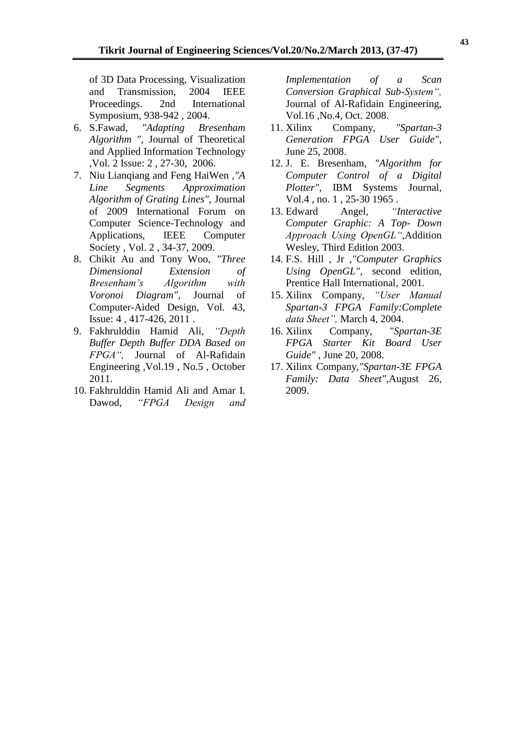of 3D Data Processing, Visualization and Transmission, 2004 IEEE Proceedings. 2nd International Symposium, 938-942 , 2004.

- 6. S.Fawad, *"Adapting Bresenham Algorithm ",* Journal of Theoretical and Applied Information Technology ,Vol. 2 Issue: 2 , 27-30, 2006.
- 7. Niu Lianqiang and Feng HaiWen *,"A Line Segments Approximation Algorithm of Grating Lines"*, Journal of 2009 International Forum on Computer Science-Technology and Applications, IEEE Computer Society , Vol. 2 , 34-37, 2009.
- 8. Chikit Au and Tony Woo, *"Three Dimensional Extension of Bresenham's Algorithm with Voronoi Diagram",* Journal of Computer-Aided Design, Vol. 43, Issue: 4 , 417-426, 2011 .
- 9. Fakhrulddin Hamid Ali, *"Depth Buffer Depth Buffer DDA Based on FPGA",* Journal of Al-Rafidain Engineering ,Vol.19 , No.5 , October 2011.
- 10. Fakhrulddin Hamid Ali and Amar I. Dawod, *"FPGA Design and*

*Implementation of a Scan Conversion Graphical Sub-System",* Journal of Al-Rafidain Engineering, Vol.16 ,No.4, Oct. 2008.

- 11. Xilinx Company, *"Spartan-3 Generation FPGA User Guide"*, June 25, 2008.
- 12. J. E. Bresenham, *"Algorithm for Computer Control of a Digital Plotter"*, IBM Systems Journal, Vol.4 , no. 1 , 25-30 1965 .
- 13. Edward Angel, *"Interactive Computer Graphic: A Top- Down Approach Using OpenGL"*,Addition Wesley, Third Edition 2003.
- 14. F.S. Hill , Jr *,"Computer Graphics Using OpenGL"*, second edition, Prentice Hall International, 2001.
- 15. Xilinx Company, *"User Manual Spartan-3 FPGA Family:Complete data Sheet",* March 4, 2004.
- 16. Xilinx Company, *"Spartan-3E FPGA Starter Kit Board User Guide"* , June 20, 2008.
- 17. Xilinx Company*,"Spartan-3E FPGA Family: Data Sheet"*,August 26, 2009.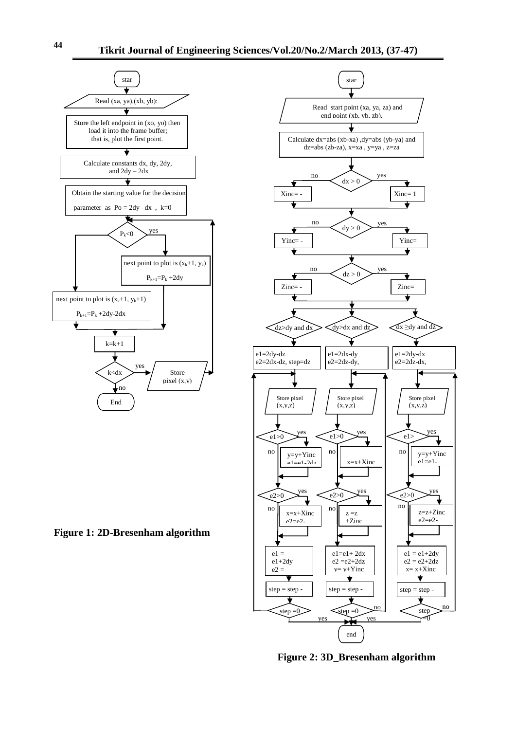

**Figure 1: 2D-Bresenham algorithm**



**Figure 2: 3D\_Bresenham algorithm**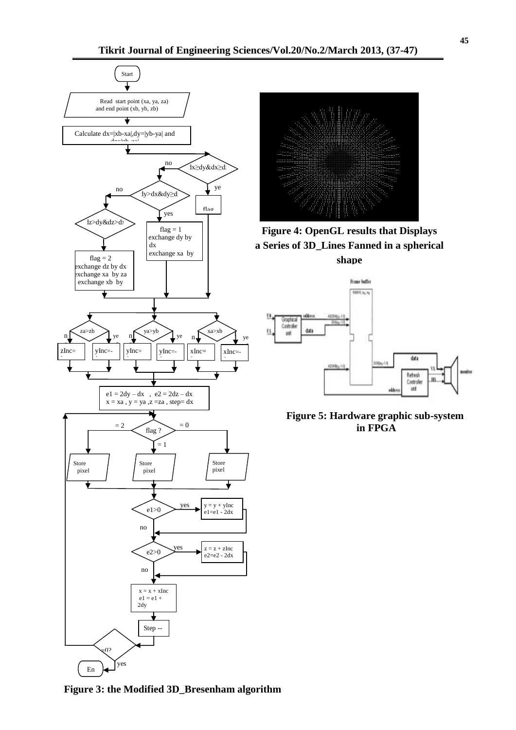



**Figure 4: OpenGL results that Displays a Series of 3D\_Lines Fanned in a spherical shape**



**Figure 5: Hardware graphic sub-system in FPGA**

**Figure 3: the Modified 3D\_Bresenham algorithm**

<sup>d</sup>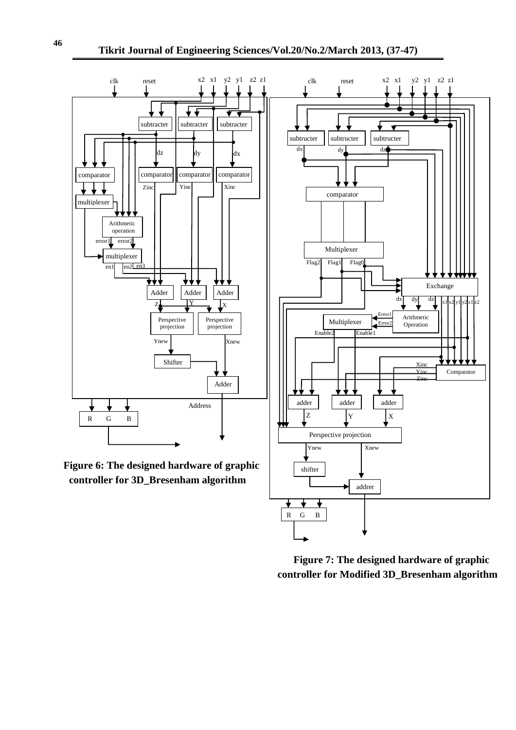

 **Figure 7: The designed hardware of graphic controller for Modified 3D\_Bresenham algorithm**